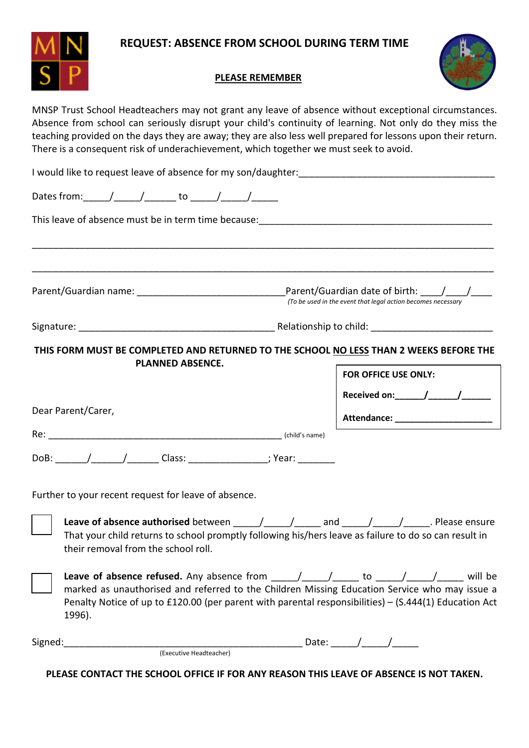

## **REQUEST: ABSENCE FROM SCHOOL DURING TERM TIME**

## **PLEASE REMEMBER**



MNSP Trust School Headteachers may not grant any leave of absence without exceptional circumstances. Absence from school can seriously disrupt your child's continuity of learning. Not only do they miss the teaching provided on the days they are away; they are also less well prepared for lessons upon their return. There is a consequent risk of underachievement, which together we must seek to avoid.

|                    |        |  |                                                                                           | (To be used in the event that legal action becomes necessary |                                                           |  |  |                     |                                                                                                                                                                                                                                                                                                                                                                                                                                                                                                                                                                           |
|--------------------|--------|--|-------------------------------------------------------------------------------------------|--------------------------------------------------------------|-----------------------------------------------------------|--|--|---------------------|---------------------------------------------------------------------------------------------------------------------------------------------------------------------------------------------------------------------------------------------------------------------------------------------------------------------------------------------------------------------------------------------------------------------------------------------------------------------------------------------------------------------------------------------------------------------------|
|                    |        |  |                                                                                           |                                                              |                                                           |  |  |                     |                                                                                                                                                                                                                                                                                                                                                                                                                                                                                                                                                                           |
|                    |        |  |                                                                                           |                                                              |                                                           |  |  |                     |                                                                                                                                                                                                                                                                                                                                                                                                                                                                                                                                                                           |
|                    |        |  |                                                                                           |                                                              | <b>FOR OFFICE USE ONLY:</b>                               |  |  |                     |                                                                                                                                                                                                                                                                                                                                                                                                                                                                                                                                                                           |
|                    |        |  |                                                                                           |                                                              |                                                           |  |  |                     |                                                                                                                                                                                                                                                                                                                                                                                                                                                                                                                                                                           |
| Dear Parent/Carer, |        |  |                                                                                           |                                                              | Attendance: ____________________                          |  |  |                     |                                                                                                                                                                                                                                                                                                                                                                                                                                                                                                                                                                           |
|                    |        |  |                                                                                           |                                                              |                                                           |  |  |                     |                                                                                                                                                                                                                                                                                                                                                                                                                                                                                                                                                                           |
|                    |        |  |                                                                                           |                                                              |                                                           |  |  |                     |                                                                                                                                                                                                                                                                                                                                                                                                                                                                                                                                                                           |
|                    |        |  |                                                                                           |                                                              |                                                           |  |  |                     |                                                                                                                                                                                                                                                                                                                                                                                                                                                                                                                                                                           |
|                    |        |  |                                                                                           |                                                              |                                                           |  |  |                     |                                                                                                                                                                                                                                                                                                                                                                                                                                                                                                                                                                           |
|                    |        |  |                                                                                           |                                                              |                                                           |  |  |                     |                                                                                                                                                                                                                                                                                                                                                                                                                                                                                                                                                                           |
|                    |        |  |                                                                                           |                                                              |                                                           |  |  |                     |                                                                                                                                                                                                                                                                                                                                                                                                                                                                                                                                                                           |
|                    | 1996). |  | <b>PLANNED ABSENCE.</b><br>their removal from the school roll.<br>(Executive Headteacher) | Further to your recent request for leave of absence.         | Dates from: _____/______/_______ to ______/______/_______ |  |  | Date: $\sqrt{2\pi}$ | I would like to request leave of absence for my son/daughter:<br>THIS FORM MUST BE COMPLETED AND RETURNED TO THE SCHOOL NO LESS THAN 2 WEEKS BEFORE THE<br>Leave of absence authorised between _____/_____/______ and _____/_____/_____. Please ensure<br>That your child returns to school promptly following his/hers leave as failure to do so can result in<br>marked as unauthorised and referred to the Children Missing Education Service who may issue a<br>Penalty Notice of up to £120.00 (per parent with parental responsibilities) - (S.444(1) Education Act |

**PLEASE CONTACT THE SCHOOL OFFICE IF FOR ANY REASON THIS LEAVE OF ABSENCE IS NOT TAKEN.**